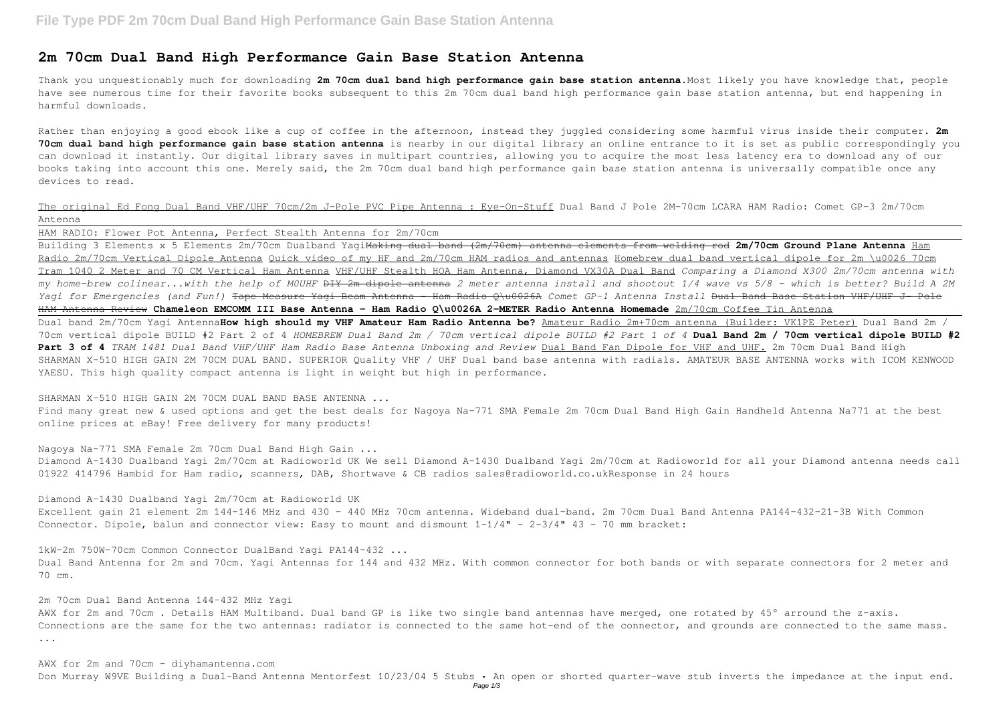## **2m 70cm Dual Band High Performance Gain Base Station Antenna**

Thank you unquestionably much for downloading **2m 70cm dual band high performance gain base station antenna**.Most likely you have knowledge that, people have see numerous time for their favorite books subsequent to this 2m 70cm dual band high performance gain base station antenna, but end happening in harmful downloads.

The original Ed Fong Dual Band VHF/UHF 70cm/2m J-Pole PVC Pipe Antenna : Eye-On-Stuff Dual Band J Pole 2M-70cm LCARA HAM Radio: Comet GP-3 2m/70cm Antenna

Rather than enjoying a good ebook like a cup of coffee in the afternoon, instead they juggled considering some harmful virus inside their computer. **2m 70cm dual band high performance gain base station antenna** is nearby in our digital library an online entrance to it is set as public correspondingly you can download it instantly. Our digital library saves in multipart countries, allowing you to acquire the most less latency era to download any of our books taking into account this one. Merely said, the 2m 70cm dual band high performance gain base station antenna is universally compatible once any devices to read.

Nagoya Na-771 SMA Female 2m 70cm Dual Band High Gain ... Diamond A-1430 Dualband Yagi 2m/70cm at Radioworld UK We sell Diamond A-1430 Dualband Yagi 2m/70cm at Radioworld for all your Diamond antenna needs call 01922 414796 Hambid for Ham radio, scanners, DAB, Shortwave & CB radios sales@radioworld.co.ukResponse in 24 hours

Diamond A-1430 Dualband Yagi 2m/70cm at Radioworld UK Excellent gain 21 element 2m 144-146 MHz and 430 - 440 MHz 70cm antenna. Wideband dual-band. 2m 70cm Dual Band Antenna PA144-432-21-3B With Common Connector. Dipole, balun and connector view: Easy to mount and dismount  $1-1/4" - 2-3/4" 43 - 70$  mm bracket:

HAM RADIO: Flower Pot Antenna, Perfect Stealth Antenna for 2m/70cm Building 3 Elements x 5 Elements 2m/70cm Dualband YagiMaking dual band (2m/70cm) antenna elements from welding rod **2m/70cm Ground Plane Antenna** Ham Radio 2m/70cm Vertical Dipole Antenna Quick video of my HF and 2m/70cm HAM radios and antennas Homebrew dual band vertical dipole for 2m \u0026 70cm Tram 1040 2 Meter and 70 CM Vertical Ham Antenna VHF/UHF Stealth HOA Ham Antenna, Diamond VX30A Dual Band *Comparing a Diamond X300 2m/70cm antenna with my home-brew colinear...with the help of M0UHF* DIY 2m dipole antenna *2 meter antenna install and shootout 1/4 wave vs 5/8 - which is better? Build A 2M Yagi for Emergencies (and Fun!)* Tape Measure Yagi Beam Antenna - Ham Radio Q\u0026A *Comet GP-1 Antenna Install* Dual Band Base Station VHF/UHF J- Pole HAM Antenna Review **Chameleon EMCOMM III Base Antenna - Ham Radio Q\u0026A 2-METER Radio Antenna Homemade** 2m/70cm Coffee Tin Antenna Dual band 2m/70cm Yagi Antenna**How high should my VHF Amateur Ham Radio Antenna be?** Amateur Radio 2m+70cm antenna (Builder: VK1PE Peter) Dual Band 2m / 70cm vertical dipole BUILD #2 Part 2 of 4 *HOMEBREW Dual Band 2m / 70cm vertical dipole BUILD #2 Part 1 of 4* **Dual Band 2m / 70cm vertical dipole BUILD #2 Part 3 of 4** *TRAM 1481 Dual Band VHF/UHF Ham Radio Base Antenna Unboxing and Review* Dual Band Fan Dipole for VHF and UHF. 2m 70cm Dual Band High SHARMAN X-510 HIGH GAIN 2M 70CM DUAL BAND. SUPERIOR Quality VHF / UHF Dual band base antenna with radials. AMATEUR BASE ANTENNA works with ICOM KENWOOD YAESU. This high quality compact antenna is light in weight but high in performance.

SHARMAN X-510 HIGH GAIN 2M 70CM DUAL BAND BASE ANTENNA ... Find many great new & used options and get the best deals for Nagoya Na-771 SMA Female 2m 70cm Dual Band High Gain Handheld Antenna Na771 at the best

online prices at eBay! Free delivery for many products!

1kW-2m 750W-70cm Common Connector DualBand Yagi PA144-432 ... Dual Band Antenna for 2m and 70cm. Yagi Antennas for 144 and 432 MHz. With common connector for both bands or with separate connectors for 2 meter and 70 cm.

2m 70cm Dual Band Antenna 144-432 MHz Yagi AWX for 2m and 70cm. Details HAM Multiband. Dual band GP is like two single band antennas have merged, one rotated by 45° arround the z-axis. Connections are the same for the two antennas: radiator is connected to the same hot-end of the connector, and grounds are connected to the same mass. ...

AWX for 2m and 70cm - diyhamantenna.com Don Murray W9VE Building a Dual-Band Antenna Mentorfest 10/23/04 5 Stubs • An open or shorted quarter-wave stub inverts the impedance at the input end.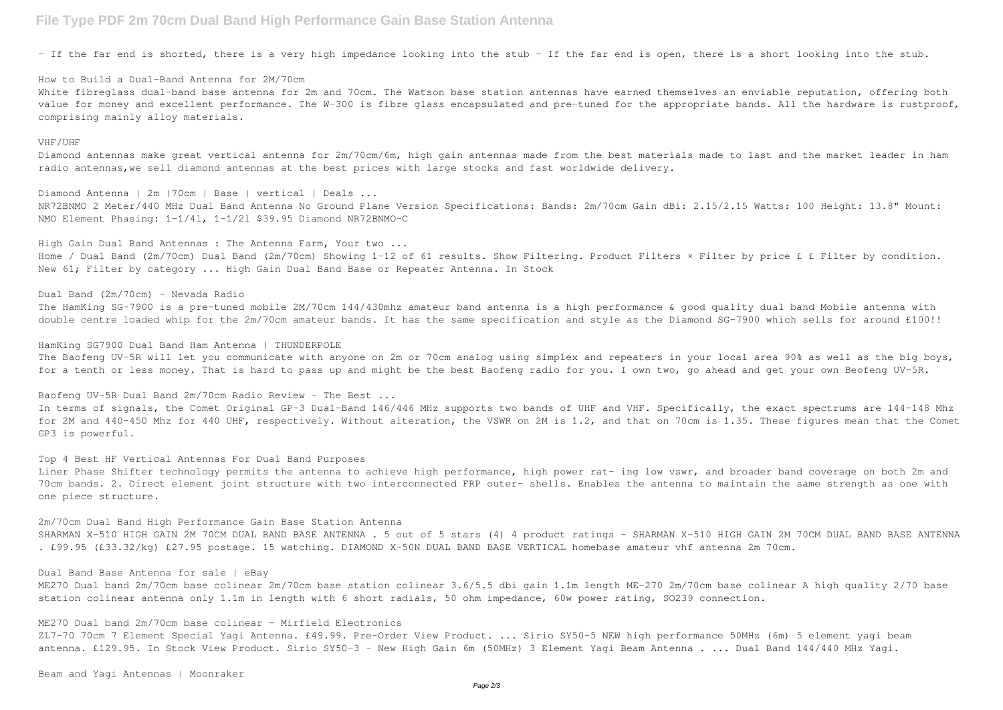## **File Type PDF 2m 70cm Dual Band High Performance Gain Base Station Antenna**

– If the far end is shorted, there is a very high impedance looking into the stub – If the far end is open, there is a short looking into the stub.

How to Build a Dual-Band Antenna for 2M/70cm White fibreglass dual-band base antenna for 2m and 70cm. The Watson base station antennas have earned themselves an enviable reputation, offering both value for money and excellent performance. The W-300 is fibre glass encapsulated and pre-tuned for the appropriate bands. All the hardware is rustproof, comprising mainly alloy materials.

## VHF/UHF

Dual Band (2m/70cm) – Nevada Radio The HamKing SG-7900 is a pre-tuned mobile 2M/70cm 144/430mhz amateur band antenna is a high performance & good quality dual band Mobile antenna with double centre loaded whip for the 2m/70cm amateur bands. It has the same specification and style as the Diamond SG-7900 which sells for around £100!!

Diamond antennas make great vertical antenna for 2m/70cm/6m, high gain antennas made from the best materials made to last and the market leader in ham radio antennas,we sell diamond antennas at the best prices with large stocks and fast worldwide delivery.

Diamond Antenna | 2m |70cm | Base | vertical | Deals ... NR72BNMO 2 Meter/440 MHz Dual Band Antenna No Ground Plane Version Specifications: Bands: 2m/70cm Gain dBi: 2.15/2.15 Watts: 100 Height: 13.8" Mount: NMO Element Phasing: 1-1/4l, 1-1/2l \$39.95 Diamond NR72BNMO-C

High Gain Dual Band Antennas : The Antenna Farm, Your two ... Home / Dual Band (2m/70cm) Dual Band (2m/70cm) Showing 1-12 of 61 results. Show Filtering. Product Filters × Filter by price £ £ Filter by condition. New 61; Filter by category ... High Gain Dual Band Base or Repeater Antenna. In Stock

HamKing SG7900 Dual Band Ham Antenna | THUNDERPOLE The Baofeng UV-5R will let you communicate with anyone on 2m or 70cm analog using simplex and repeaters in your local area 90% as well as the big boys, for a tenth or less money. That is hard to pass up and might be the best Baofeng radio for you. I own two, go ahead and get your own Beofeng UV-5R.

Baofeng UV-5R Dual Band 2m/70cm Radio Review – The Best ... In terms of signals, the Comet Original GP-3 Dual-Band 146/446 MHz supports two bands of UHF and VHF. Specifically, the exact spectrums are 144-148 Mhz for 2M and 440-450 Mhz for 440 UHF, respectively. Without alteration, the VSWR on 2M is 1.2, and that on 70cm is 1.35. These figures mean that the Comet GP3 is powerful.

Top 4 Best HF Vertical Antennas For Dual Band Purposes Liner Phase Shifter technology permits the antenna to achieve high performance, high power rat- ing low vswr, and broader band coverage on both 2m and 70cm bands. 2. Direct element joint structure with two interconnected FRP outer- shells. Enables the antenna to maintain the same strength as one with one piece structure.

2m/70cm Dual Band High Performance Gain Base Station Antenna SHARMAN X-510 HIGH GAIN 2M 70CM DUAL BAND BASE ANTENNA . 5 out of 5 stars (4) 4 product ratings - SHARMAN X-510 HIGH GAIN 2M 70CM DUAL BAND BASE ANTENNA . £99.95 (£33.32/kg) £27.95 postage. 15 watching. DIAMOND X-50N DUAL BAND BASE VERTICAL homebase amateur vhf antenna 2m 70cm.

Dual Band Base Antenna for sale | eBay

ME270 Dual band 2m/70cm base colinear 2m/70cm base station colinear 3.6/5.5 dbi gain 1.1m length ME-270 2m/70cm base colinear A high quality 2/70 base station colinear antenna only 1.1m in length with 6 short radials, 50 ohm impedance, 60w power rating, SO239 connection.

ME270 Dual band 2m/70cm base colinear - Mirfield Electronics

ZL7-70 70cm 7 Element Special Yagi Antenna. £49.99. Pre-Order View Product. ... Sirio SY50-5 NEW high performance 50MHz (6m) 5 element yagi beam antenna. £129.95. In Stock View Product. Sirio SY50-3 - New High Gain 6m (50MHz) 3 Element Yagi Beam Antenna . ... Dual Band 144/440 MHz Yagi.

Beam and Yagi Antennas | Moonraker